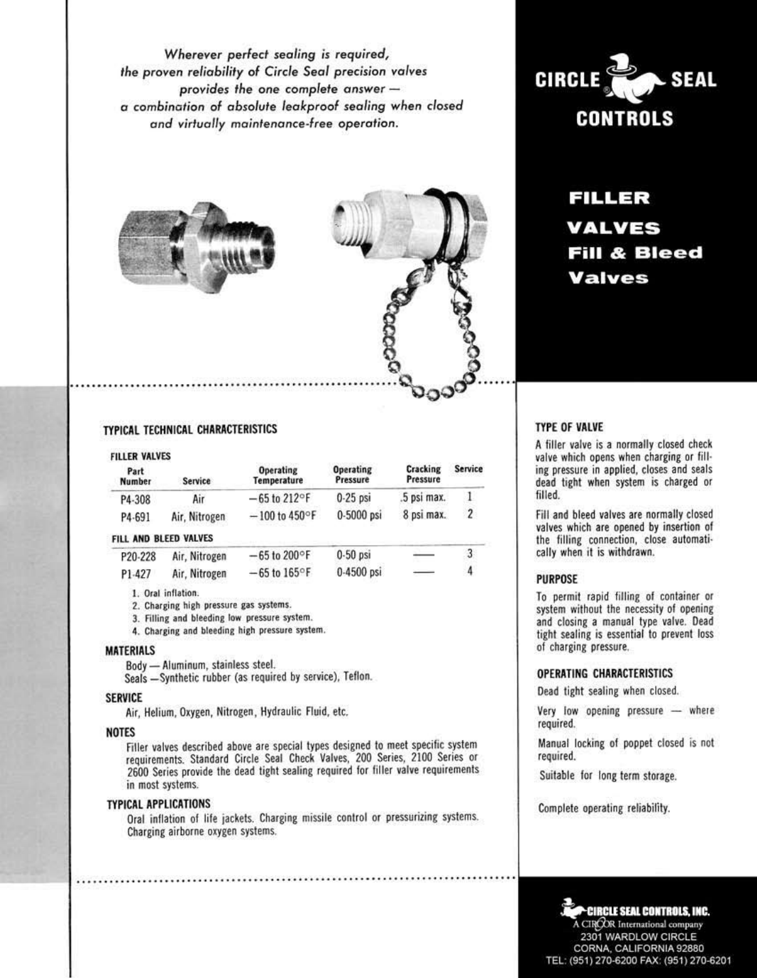Wherever perfect sealing is required, the proven reliability of Circle Seal precision valves provides the one complete answer  $$ a combination of absolute leakproof sealing when closed and virtually maintenance-free operation.





# **CIRCLE SEAL CONTROLS**

FILLER VALVES **Fill & Bleed Valves** 

## TYPICAL TECHNICAL CHARACTERISTICS

| <b>FILLER VALVES</b> |               |                                 |                              |                      |                |
|----------------------|---------------|---------------------------------|------------------------------|----------------------|----------------|
| Part<br>Number       | Service       | <b>Operating</b><br>Temperature | <b>Operating</b><br>Pressure | Cracking<br>Pressure | <b>Service</b> |
| P4-308               | Air           | $-65$ to 212°F                  | $0.25$ psi                   | .5 psi max.          |                |
| P4-691               | Air, Nitrogen | $-100$ to 450°F                 | 0-5000 psi                   | 8 psi max.           | $\mathbf{2}$   |

#### FILL AND BLEED VALVES

| P20-228 | Air, Nitrogen | $-65$ to 200°F           | 0-50 psi     |               |  |
|---------|---------------|--------------------------|--------------|---------------|--|
| P1-427  | Air, Nitrogen | $-65$ to $165^{\circ}$ F | $0.4500$ psi | $\frac{1}{2}$ |  |

1. Oral inflation.

2. Charging high pressure gas systems.

3. Filling and bleeding low pressure system.

4. Charging and bleeding high pressure system.

#### **MATERIALS**

Body - Aluminum, stainless steel.

Seals -Synthetic rubber (as required by service), Teflon.

#### **SERVICE**

Air, Helium, Oxygen, Nitrogen, Hydraulic Fluid, etc.

#### **NOTES**

Filler valves described above are special types designed to meet specific system requirements. Standard Circle Seal Check Valves, 200 Series, 2100 Series or 2600 Series provide the dead tight sealing required for filler valve requirements in most systems.

## **TYPICAL APPLICATIONS**

Oral inflation of life jackets. Charging missile control or pressurizing systems. Charging airborne oxygen systems.

#### **TYPE OF VALVE**

A filler valve is a normally closed check valve which opens when charging or filling pressure in applied, closes and seals dead tight when system is charged or filled.

Fill and bleed valves are normally closed valves which are opened by insertion of the filling connection, close automatically when it is withdrawn.

#### **PURPOSE**

To permit rapid filling of container or system without the necessity of opening and closing a manual type valve. Dead tight sealing is essential to prevent loss of charging pressure.

#### OPERATING CHARACTERISTICS

Dead tight sealing when closed.

Very low opening pressure - where required.

Manual locking of poppet closed is not required.

Suitable for long term storage.

Complete operating reliability.

#### CIRCLE SEAL CONTROLS, INC. A CIROOR International company 2301 WARDLOW CIRCLE CORNA, CALIFORNIA 92880 TEL: (951) 270-6200 FAX: (951) 270-6201